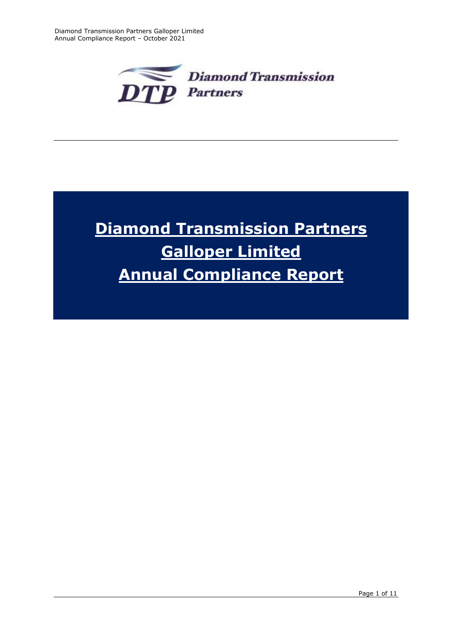

# **Diamond Transmission Partners Galloper Limited Annual Compliance Report**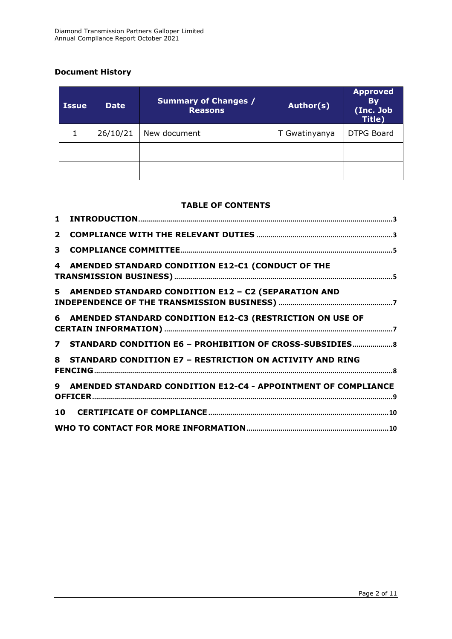## **Document History**

| <b>Issue</b> | <b>Date</b> | <b>Summary of Changes /</b><br><b>Reasons</b> | Author(s)     | <b>Approved</b><br><b>By</b><br>(Inc. Job<br>Title) |
|--------------|-------------|-----------------------------------------------|---------------|-----------------------------------------------------|
|              | 26/10/21    | New document                                  | T Gwatinyanya | <b>DTPG Board</b>                                   |
|              |             |                                               |               |                                                     |
|              |             |                                               |               |                                                     |

#### **TABLE OF CONTENTS**

| 3 |                                                                 |  |
|---|-----------------------------------------------------------------|--|
| 4 | AMENDED STANDARD CONDITION E12-C1 (CONDUCT OF THE               |  |
|   | 5 AMENDED STANDARD CONDITION E12 - C2 (SEPARATION AND           |  |
|   | 6 AMENDED STANDARD CONDITION E12-C3 (RESTRICTION ON USE OF      |  |
|   | 7 STANDARD CONDITION E6 - PROHIBITION OF CROSS-SUBSIDIES 8      |  |
|   | 8 STANDARD CONDITION E7 - RESTRICTION ON ACTIVITY AND RING      |  |
|   | 9 AMENDED STANDARD CONDITION E12-C4 - APPOINTMENT OF COMPLIANCE |  |
|   |                                                                 |  |
|   |                                                                 |  |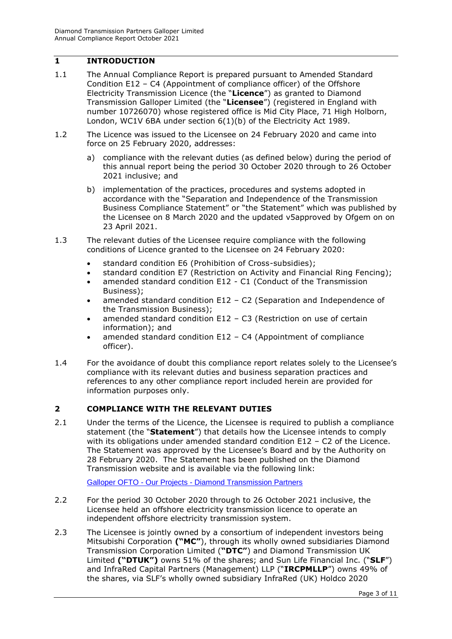### <span id="page-2-0"></span>**1 INTRODUCTION**

- 1.1 The Annual Compliance Report is prepared pursuant to Amended Standard Condition E12 – C4 (Appointment of compliance officer) of the Offshore Electricity Transmission Licence (the "**Licence**") as granted to Diamond Transmission Galloper Limited (the "**Licensee**") (registered in England with number 10726070) whose registered office is Mid City Place, 71 High Holborn, London, WC1V 6BA under section 6(1)(b) of the Electricity Act 1989.
- 1.2 The Licence was issued to the Licensee on 24 February 2020 and came into force on 25 February 2020, addresses:
	- a) compliance with the relevant duties (as defined below) during the period of this annual report being the period 30 October 2020 through to 26 October 2021 inclusive; and
	- b) implementation of the practices, procedures and systems adopted in accordance with the "Separation and Independence of the Transmission Business Compliance Statement" or "the Statement" which was published by the Licensee on 8 March 2020 and the updated v5approved by Ofgem on on 23 April 2021.
- 1.3 The relevant duties of the Licensee require compliance with the following conditions of Licence granted to the Licensee on 24 February 2020:
	- standard condition E6 (Prohibition of Cross-subsidies);
	- standard condition E7 (Restriction on Activity and Financial Ring Fencing);
	- amended standard condition E12 C1 (Conduct of the Transmission Business);
	- amended standard condition E12 C2 (Separation and Independence of the Transmission Business);
	- amended standard condition E12 C3 (Restriction on use of certain information); and
	- amended standard condition E12 C4 (Appointment of compliance officer).
- 1.4 For the avoidance of doubt this compliance report relates solely to the Licensee's compliance with its relevant duties and business separation practices and references to any other compliance report included herein are provided for information purposes only.

## <span id="page-2-1"></span>**2 COMPLIANCE WITH THE RELEVANT DUTIES**

2.1 Under the terms of the Licence, the Licensee is required to publish a compliance statement (the "**Statement**") that details how the Licensee intends to comply with its obligations under amended standard condition E12 – C2 of the Licence. The Statement was approved by the Licensee's Board and by the Authority on 28 February 2020. The Statement has been published on the Diamond Transmission website and is available via the following link:

Galloper OFTO - Our Projects - [Diamond Transmission Partners](https://www.diamondtransmissionpartners.com/our-projects/burbo-bank-extension-ofto)

- 2.2 For the period 30 October 2020 through to 26 October 2021 inclusive, the Licensee held an offshore electricity transmission licence to operate an independent offshore electricity transmission system.
- 2.3 The Licensee is jointly owned by a consortium of independent investors being Mitsubishi Corporation **("MC"**), through its wholly owned subsidiaries Diamond Transmission Corporation Limited (**"DTC"**) and Diamond Transmission UK Limited **("DTUK")** owns 51% of the shares; and Sun Life Financial Inc. ("**SLF**") and InfraRed Capital Partners (Management) LLP ("**IRCPMLLP**") owns 49% of the shares, via SLF's wholly owned subsidiary InfraRed (UK) Holdco 2020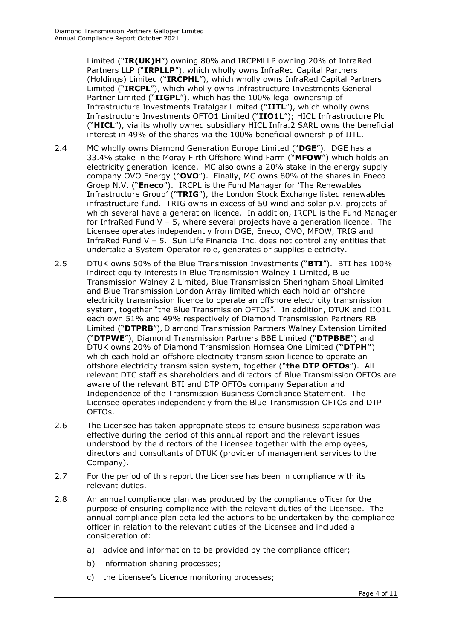Limited ("**IR(UK)H**") owning 80% and IRCPMLLP owning 20% of InfraRed Partners LLP ("**IRPLLP**"), which wholly owns InfraRed Capital Partners (Holdings) Limited ("**IRCPHL**"), which wholly owns InfraRed Capital Partners Limited ("**IRCPL**"), which wholly owns Infrastructure Investments General Partner Limited ("**IIGPL**"), which has the 100% legal ownership of Infrastructure Investments Trafalgar Limited ("**IITL**"), which wholly owns Infrastructure Investments OFTO1 Limited ("**IIO1L**"); HICL Infrastructure Plc ("**HICL**"), via its wholly owned subsidiary HICL Infra.2 SARL owns the beneficial interest in 49% of the shares via the 100% beneficial ownership of IITL.

- 2.4 MC wholly owns Diamond Generation Europe Limited ("**DGE**"). DGE has a 33.4% stake in the Moray Firth Offshore Wind Farm ("**MFOW**") which holds an electricity generation licence. MC also owns a 20% stake in the energy supply company OVO Energy ("**OVO**"). Finally, MC owns 80% of the shares in Eneco Groep N.V. ("**Eneco**"). IRCPL is the Fund Manager for 'The Renewables Infrastructure Group' ("**TRIG**"), the London Stock Exchange listed renewables infrastructure fund. TRIG owns in excess of 50 wind and solar p.v. projects of which several have a generation licence. In addition, IRCPL is the Fund Manager for InfraRed Fund V – 5, where several projects have a generation licence. The Licensee operates independently from DGE, Eneco, OVO, MFOW, TRIG and InfraRed Fund V – 5. Sun Life Financial Inc. does not control any entities that undertake a System Operator role, generates or supplies electricity.
- 2.5 DTUK owns 50% of the Blue Transmission Investments ("**BTI**"). BTI has 100% indirect equity interests in Blue Transmission Walney 1 Limited, Blue Transmission Walney 2 Limited, Blue Transmission Sheringham Shoal Limited and Blue Transmission London Array limited which each hold an offshore electricity transmission licence to operate an offshore electricity transmission system, together "the Blue Transmission OFTOs". In addition, DTUK and IIO1L each own 51% and 49% respectively of Diamond Transmission Partners RB Limited ("**DTPRB**"), Diamond Transmission Partners Walney Extension Limited ("**DTPWE**"), Diamond Transmission Partners BBE Limited ("**DTPBBE**") and DTUK owns 20% of Diamond Transmission Hornsea One Limited (**"DTPH"**) which each hold an offshore electricity transmission licence to operate an offshore electricity transmission system, together ("**the DTP OFTOs**"). All relevant DTC staff as shareholders and directors of Blue Transmission OFTOs are aware of the relevant BTI and DTP OFTOs company Separation and Independence of the Transmission Business Compliance Statement. The Licensee operates independently from the Blue Transmission OFTOs and DTP OFTOs.
- 2.6 The Licensee has taken appropriate steps to ensure business separation was effective during the period of this annual report and the relevant issues understood by the directors of the Licensee together with the employees, directors and consultants of DTUK (provider of management services to the Company).
- 2.7 For the period of this report the Licensee has been in compliance with its relevant duties.
- 2.8 An annual compliance plan was produced by the compliance officer for the purpose of ensuring compliance with the relevant duties of the Licensee. The annual compliance plan detailed the actions to be undertaken by the compliance officer in relation to the relevant duties of the Licensee and included a consideration of:
	- a) advice and information to be provided by the compliance officer;
	- b) information sharing processes;
	- c) the Licensee's Licence monitoring processes;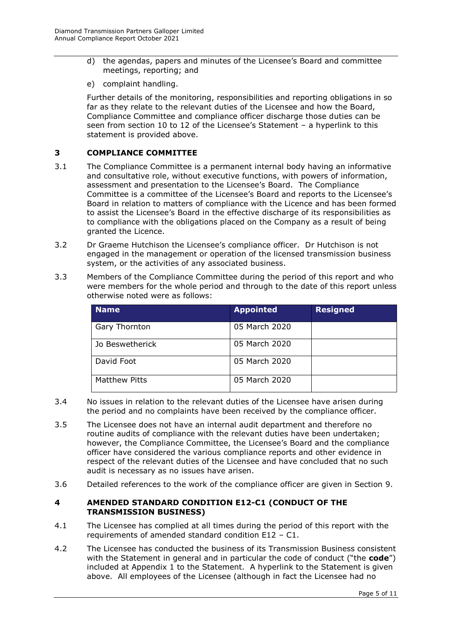- d) the agendas, papers and minutes of the Licensee's Board and committee meetings, reporting; and
- e) complaint handling.

Further details of the monitoring, responsibilities and reporting obligations in so far as they relate to the relevant duties of the Licensee and how the Board, Compliance Committee and compliance officer discharge those duties can be seen from section 10 to 12 of the Licensee's Statement – a hyperlink to this statement is provided above.

#### <span id="page-4-0"></span>**3 COMPLIANCE COMMITTEE**

- 3.1 The Compliance Committee is a permanent internal body having an informative and consultative role, without executive functions, with powers of information, assessment and presentation to the Licensee's Board. The Compliance Committee is a committee of the Licensee's Board and reports to the Licensee's Board in relation to matters of compliance with the Licence and has been formed to assist the Licensee's Board in the effective discharge of its responsibilities as to compliance with the obligations placed on the Company as a result of being granted the Licence.
- 3.2 Dr Graeme Hutchison the Licensee's compliance officer. Dr Hutchison is not engaged in the management or operation of the licensed transmission business system, or the activities of any associated business.
- 3.3 Members of the Compliance Committee during the period of this report and who were members for the whole period and through to the date of this report unless otherwise noted were as follows:

| Name                 | <b>Appointed</b> | <b>Resigned</b> |
|----------------------|------------------|-----------------|
| Gary Thornton        | 05 March 2020    |                 |
| Jo Beswetherick      | 05 March 2020    |                 |
| David Foot           | 05 March 2020    |                 |
| <b>Matthew Pitts</b> | 05 March 2020    |                 |

- 3.4 No issues in relation to the relevant duties of the Licensee have arisen during the period and no complaints have been received by the compliance officer.
- 3.5 The Licensee does not have an internal audit department and therefore no routine audits of compliance with the relevant duties have been undertaken; however, the Compliance Committee, the Licensee's Board and the compliance officer have considered the various compliance reports and other evidence in respect of the relevant duties of the Licensee and have concluded that no such audit is necessary as no issues have arisen.
- 3.6 Detailed references to the work of the compliance officer are given in Section 9.

#### <span id="page-4-1"></span>**4 AMENDED STANDARD CONDITION E12-C1 (CONDUCT OF THE TRANSMISSION BUSINESS)**

- 4.1 The Licensee has complied at all times during the period of this report with the requirements of amended standard condition E12 – C1.
- 4.2 The Licensee has conducted the business of its Transmission Business consistent with the Statement in general and in particular the code of conduct ("the **code**") included at Appendix 1 to the Statement. A hyperlink to the Statement is given above. All employees of the Licensee (although in fact the Licensee had no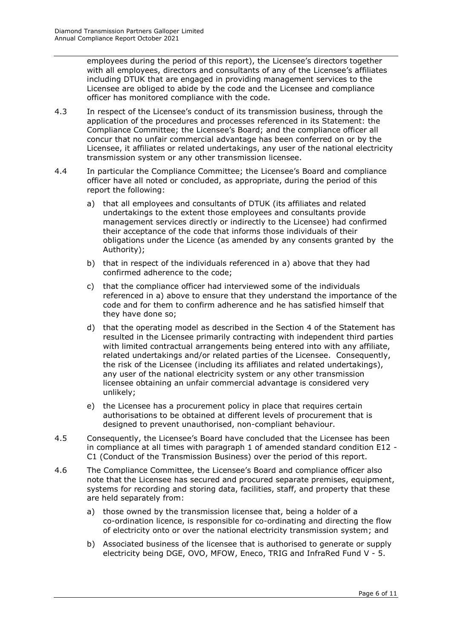employees during the period of this report), the Licensee's directors together with all employees, directors and consultants of any of the Licensee's affiliates including DTUK that are engaged in providing management services to the Licensee are obliged to abide by the code and the Licensee and compliance officer has monitored compliance with the code.

- 4.3 In respect of the Licensee's conduct of its transmission business, through the application of the procedures and processes referenced in its Statement: the Compliance Committee; the Licensee's Board; and the compliance officer all concur that no unfair commercial advantage has been conferred on or by the Licensee, it affiliates or related undertakings, any user of the national electricity transmission system or any other transmission licensee.
- 4.4 In particular the Compliance Committee; the Licensee's Board and compliance officer have all noted or concluded, as appropriate, during the period of this report the following:
	- a) that all employees and consultants of DTUK (its affiliates and related undertakings to the extent those employees and consultants provide management services directly or indirectly to the Licensee) had confirmed their acceptance of the code that informs those individuals of their obligations under the Licence (as amended by any consents granted by the Authority);
	- b) that in respect of the individuals referenced in a) above that they had confirmed adherence to the code;
	- c) that the compliance officer had interviewed some of the individuals referenced in a) above to ensure that they understand the importance of the code and for them to confirm adherence and he has satisfied himself that they have done so;
	- d) that the operating model as described in the Section 4 of the Statement has resulted in the Licensee primarily contracting with independent third parties with limited contractual arrangements being entered into with any affiliate, related undertakings and/or related parties of the Licensee. Consequently, the risk of the Licensee (including its affiliates and related undertakings), any user of the national electricity system or any other transmission licensee obtaining an unfair commercial advantage is considered very unlikely;
	- e) the Licensee has a procurement policy in place that requires certain authorisations to be obtained at different levels of procurement that is designed to prevent unauthorised, non-compliant behaviour.
- 4.5 Consequently, the Licensee's Board have concluded that the Licensee has been in compliance at all times with paragraph 1 of amended standard condition E12 - C1 (Conduct of the Transmission Business) over the period of this report.
- 4.6 The Compliance Committee, the Licensee's Board and compliance officer also note that the Licensee has secured and procured separate premises, equipment, systems for recording and storing data, facilities, staff, and property that these are held separately from:
	- a) those owned by the transmission licensee that, being a holder of a co-ordination licence, is responsible for co-ordinating and directing the flow of electricity onto or over the national electricity transmission system; and
	- b) Associated business of the licensee that is authorised to generate or supply electricity being DGE, OVO, MFOW, Eneco, TRIG and InfraRed Fund V - 5.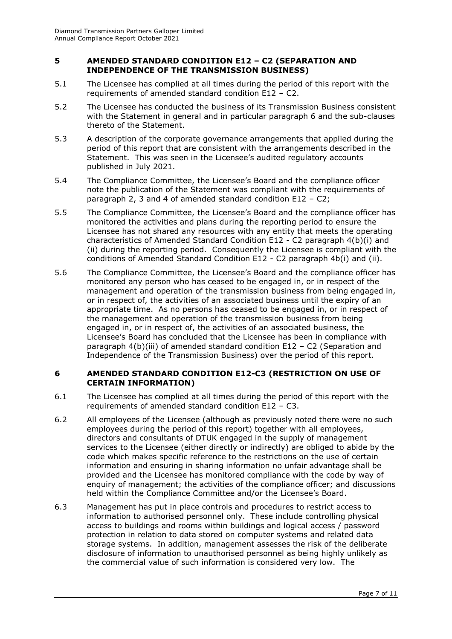#### <span id="page-6-0"></span>**5 AMENDED STANDARD CONDITION E12 – C2 (SEPARATION AND INDEPENDENCE OF THE TRANSMISSION BUSINESS)**

- 5.1 The Licensee has complied at all times during the period of this report with the requirements of amended standard condition E12 – C2.
- 5.2 The Licensee has conducted the business of its Transmission Business consistent with the Statement in general and in particular paragraph 6 and the sub-clauses thereto of the Statement.
- 5.3 A description of the corporate governance arrangements that applied during the period of this report that are consistent with the arrangements described in the Statement. This was seen in the Licensee's audited regulatory accounts published in July 2021.
- 5.4 The Compliance Committee, the Licensee's Board and the compliance officer note the publication of the Statement was compliant with the requirements of paragraph 2, 3 and 4 of amended standard condition E12 – C2;
- 5.5 The Compliance Committee, the Licensee's Board and the compliance officer has monitored the activities and plans during the reporting period to ensure the Licensee has not shared any resources with any entity that meets the operating characteristics of Amended Standard Condition E12 - C2 paragraph 4(b)(i) and (ii) during the reporting period. Consequently the Licensee is compliant with the conditions of Amended Standard Condition E12 - C2 paragraph 4b(i) and (ii).
- 5.6 The Compliance Committee, the Licensee's Board and the compliance officer has monitored any person who has ceased to be engaged in, or in respect of the management and operation of the transmission business from being engaged in, or in respect of, the activities of an associated business until the expiry of an appropriate time. As no persons has ceased to be engaged in, or in respect of the management and operation of the transmission business from being engaged in, or in respect of, the activities of an associated business, the Licensee's Board has concluded that the Licensee has been in compliance with paragraph 4(b)(iii) of amended standard condition E12 – C2 (Separation and Independence of the Transmission Business) over the period of this report.

#### <span id="page-6-1"></span>**6 AMENDED STANDARD CONDITION E12-C3 (RESTRICTION ON USE OF CERTAIN INFORMATION)**

- 6.1 The Licensee has complied at all times during the period of this report with the requirements of amended standard condition E12 – C3.
- 6.2 All employees of the Licensee (although as previously noted there were no such employees during the period of this report) together with all employees, directors and consultants of DTUK engaged in the supply of management services to the Licensee (either directly or indirectly) are obliged to abide by the code which makes specific reference to the restrictions on the use of certain information and ensuring in sharing information no unfair advantage shall be provided and the Licensee has monitored compliance with the code by way of enquiry of management; the activities of the compliance officer; and discussions held within the Compliance Committee and/or the Licensee's Board.
- 6.3 Management has put in place controls and procedures to restrict access to information to authorised personnel only. These include controlling physical access to buildings and rooms within buildings and logical access / password protection in relation to data stored on computer systems and related data storage systems. In addition, management assesses the risk of the deliberate disclosure of information to unauthorised personnel as being highly unlikely as the commercial value of such information is considered very low. The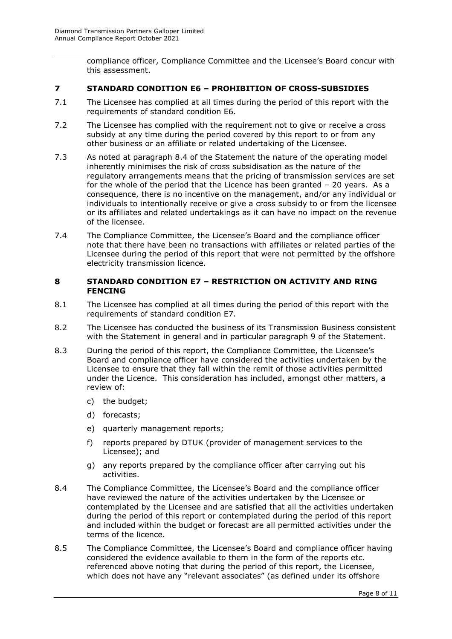compliance officer, Compliance Committee and the Licensee's Board concur with this assessment.

#### <span id="page-7-0"></span>**7 STANDARD CONDITION E6 – PROHIBITION OF CROSS-SUBSIDIES**

- 7.1 The Licensee has complied at all times during the period of this report with the requirements of standard condition E6.
- 7.2 The Licensee has complied with the requirement not to give or receive a cross subsidy at any time during the period covered by this report to or from any other business or an affiliate or related undertaking of the Licensee.
- 7.3 As noted at paragraph 8.4 of the Statement the nature of the operating model inherently minimises the risk of cross subsidisation as the nature of the regulatory arrangements means that the pricing of transmission services are set for the whole of the period that the Licence has been granted – 20 years. As a consequence, there is no incentive on the management, and/or any individual or individuals to intentionally receive or give a cross subsidy to or from the licensee or its affiliates and related undertakings as it can have no impact on the revenue of the licensee.
- 7.4 The Compliance Committee, the Licensee's Board and the compliance officer note that there have been no transactions with affiliates or related parties of the Licensee during the period of this report that were not permitted by the offshore electricity transmission licence.

#### <span id="page-7-1"></span>**8 STANDARD CONDITION E7 – RESTRICTION ON ACTIVITY AND RING FENCING**

- 8.1 The Licensee has complied at all times during the period of this report with the requirements of standard condition E7.
- 8.2 The Licensee has conducted the business of its Transmission Business consistent with the Statement in general and in particular paragraph 9 of the Statement.
- 8.3 During the period of this report, the Compliance Committee, the Licensee's Board and compliance officer have considered the activities undertaken by the Licensee to ensure that they fall within the remit of those activities permitted under the Licence. This consideration has included, amongst other matters, a review of:
	- c) the budget;
	- d) forecasts;
	- e) quarterly management reports;
	- f) reports prepared by DTUK (provider of management services to the Licensee); and
	- g) any reports prepared by the compliance officer after carrying out his activities.
- 8.4 The Compliance Committee, the Licensee's Board and the compliance officer have reviewed the nature of the activities undertaken by the Licensee or contemplated by the Licensee and are satisfied that all the activities undertaken during the period of this report or contemplated during the period of this report and included within the budget or forecast are all permitted activities under the terms of the licence.
- 8.5 The Compliance Committee, the Licensee's Board and compliance officer having considered the evidence available to them in the form of the reports etc. referenced above noting that during the period of this report, the Licensee, which does not have any "relevant associates" (as defined under its offshore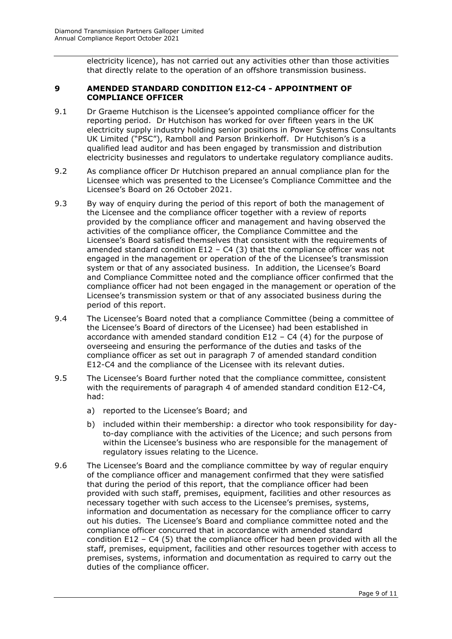electricity licence), has not carried out any activities other than those activities that directly relate to the operation of an offshore transmission business.

#### <span id="page-8-0"></span>**9 AMENDED STANDARD CONDITION E12-C4 - APPOINTMENT OF COMPLIANCE OFFICER**

- 9.1 Dr Graeme Hutchison is the Licensee's appointed compliance officer for the reporting period. Dr Hutchison has worked for over fifteen years in the UK electricity supply industry holding senior positions in Power Systems Consultants UK Limited ("PSC"), Ramboll and Parson Brinkerhoff. Dr Hutchison's is a qualified lead auditor and has been engaged by transmission and distribution electricity businesses and regulators to undertake regulatory compliance audits.
- 9.2 As compliance officer Dr Hutchison prepared an annual compliance plan for the Licensee which was presented to the Licensee's Compliance Committee and the Licensee's Board on 26 October 2021.
- 9.3 By way of enquiry during the period of this report of both the management of the Licensee and the compliance officer together with a review of reports provided by the compliance officer and management and having observed the activities of the compliance officer, the Compliance Committee and the Licensee's Board satisfied themselves that consistent with the requirements of amended standard condition  $E12 - C4$  (3) that the compliance officer was not engaged in the management or operation of the of the Licensee's transmission system or that of any associated business. In addition, the Licensee's Board and Compliance Committee noted and the compliance officer confirmed that the compliance officer had not been engaged in the management or operation of the Licensee's transmission system or that of any associated business during the period of this report.
- 9.4 The Licensee's Board noted that a compliance Committee (being a committee of the Licensee's Board of directors of the Licensee) had been established in accordance with amended standard condition  $E12 - C4$  (4) for the purpose of overseeing and ensuring the performance of the duties and tasks of the compliance officer as set out in paragraph 7 of amended standard condition E12-C4 and the compliance of the Licensee with its relevant duties.
- 9.5 The Licensee's Board further noted that the compliance committee, consistent with the requirements of paragraph 4 of amended standard condition E12-C4, had:
	- a) reported to the Licensee's Board; and
	- b) included within their membership: a director who took responsibility for dayto-day compliance with the activities of the Licence; and such persons from within the Licensee's business who are responsible for the management of regulatory issues relating to the Licence.
- 9.6 The Licensee's Board and the compliance committee by way of regular enquiry of the compliance officer and management confirmed that they were satisfied that during the period of this report, that the compliance officer had been provided with such staff, premises, equipment, facilities and other resources as necessary together with such access to the Licensee's premises, systems, information and documentation as necessary for the compliance officer to carry out his duties. The Licensee's Board and compliance committee noted and the compliance officer concurred that in accordance with amended standard condition E12 – C4 (5) that the compliance officer had been provided with all the staff, premises, equipment, facilities and other resources together with access to premises, systems, information and documentation as required to carry out the duties of the compliance officer.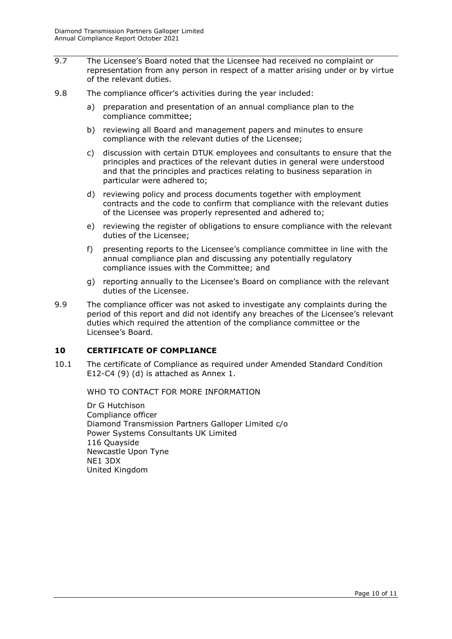- 9.7 The Licensee's Board noted that the Licensee had received no complaint or representation from any person in respect of a matter arising under or by virtue of the relevant duties.
- 9.8 The compliance officer's activities during the year included:
	- a) preparation and presentation of an annual compliance plan to the compliance committee;
	- b) reviewing all Board and management papers and minutes to ensure compliance with the relevant duties of the Licensee;
	- c) discussion with certain DTUK employees and consultants to ensure that the principles and practices of the relevant duties in general were understood and that the principles and practices relating to business separation in particular were adhered to;
	- d) reviewing policy and process documents together with employment contracts and the code to confirm that compliance with the relevant duties of the Licensee was properly represented and adhered to;
	- e) reviewing the register of obligations to ensure compliance with the relevant duties of the Licensee;
	- f) presenting reports to the Licensee's compliance committee in line with the annual compliance plan and discussing any potentially regulatory compliance issues with the Committee; and
	- g) reporting annually to the Licensee's Board on compliance with the relevant duties of the Licensee.
- 9.9 The compliance officer was not asked to investigate any complaints during the period of this report and did not identify any breaches of the Licensee's relevant duties which required the attention of the compliance committee or the Licensee's Board.

## <span id="page-9-0"></span>**10 CERTIFICATE OF COMPLIANCE**

<span id="page-9-1"></span>10.1 The certificate of Compliance as required under Amended Standard Condition E12-C4 (9) (d) is attached as Annex 1.

WHO TO CONTACT FOR MORE INFORMATION

Dr G Hutchison Compliance officer Diamond Transmission Partners Galloper Limited c/o Power Systems Consultants UK Limited 116 Quayside Newcastle Upon Tyne NE1 3DX United Kingdom